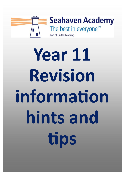

# Year 11 Revision information hints and tips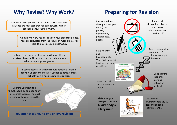## **Why Revise? Why Work?**

Revision enables positive results. Your GCSE results will influence the next step that you take towards higher education and/or Employment.

> College interview you based upon your predicted grades. These are calculated from the results of mock exams. Poor results may close some pathways.

By Term 3 the majority of colleges will have offered provisional places. These places are based upon you achieving appropriate grades.

> All school leavers in England should achieve a level 5 or above in English and Maths. If you fail to achieve this at school you will need to retake at college.

Opening your results in August should be an opportunity to celebrate success. Thorough revision will ensure this is the case.



### **Preparing for Revision**

Remove all Ensure you have all the equipment you distractions . Make need (pens, sure phones, televisions etc are pencils, switched off highlighters, post it notes, paper) Sleep is essential. A Eat a healthy minimum of 8 and hours per night balanced diet. is needed Water is key. Avoid food high in sugar The extuall plator caffeine Good lighting supports learning — Music can help …. natural or but remember no artificial words Make sure you The working have good posture. environment is key. A **A lazy body =**  desk and suitable chair is essenƟal **a lazy mind**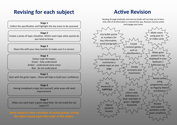### **Revising for each subject**

**Stage 1**  Collect the specification and highlight the key areas to be assessed.

**Stage 2**  Create a series of topic checklists. Within each topic what exactly do you need to know.

**Stage 3**  Share this with your class teacher to make sure it is correct.

> **Stage 4**  Colour code the topics. Green ‐ fully understand Amber ‐ understand some areas Red ‐ do not understand

**Stage 5**  Start with the green topics ‐ these will help to build your confidence.

**Stage 6**  Having completed a topic test yourself, what areas still need improvement.

**Stage 7**  Make sure each topic is given equal time. Do not avoid the red topics!!!!

### **Active Revision**

Reading through textbooks and exercise books will not help you to learn. Only 10% of all information is retained this way. Revision must be active and engage your brain.

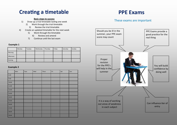### **Creating a timetable**

#### **Basic steps to success**

- 1) Draw up a trial timetable lasting one week
	- 2) Work through the trial timetable
		- 3) Review the trial timetable
- 4) Create an updated timetable for the next week
	- 5) Work through the timetable
		- 6) Review and amend
	- 7) Continue until the last exam

#### **Example 1**

|           | Monday | Tuesday | Wednesday | Thursday | Friday | Saturday | Sunday |
|-----------|--------|---------|-----------|----------|--------|----------|--------|
| Morning   |        |         |           |          |        |          |        |
| Afternoon |        |         |           |          |        |          |        |
| Evening   |        |         |           |          |        |          |        |

#### **Example 2**

|       | Mon | Tues | Wed | Thurs | Fri | Sat | Sun |
|-------|-----|------|-----|-------|-----|-----|-----|
| 8.00  |     |      |     |       |     |     |     |
| 9.00  |     |      |     |       |     |     |     |
| 10.00 |     |      |     |       |     |     |     |
| 11.00 |     |      |     |       |     |     |     |
| 12.00 |     |      |     |       |     |     |     |
| 13.00 |     |      |     |       |     |     |     |
| 14.00 |     |      |     |       |     |     |     |
| 15.00 |     |      |     |       |     |     |     |
| 16.00 |     |      |     |       |     |     |     |
| 17.00 |     |      |     |       |     |     |     |
| 18.00 |     |      |     |       |     |     |     |
| 19.00 |     |      |     |       |     |     |     |

### **PPE Exams**

### These exams are important

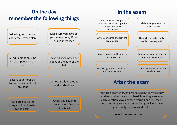#### **On the day remember the following things** Have breakfast and bring a bottle of water to the exam All equipment must be in a clear pencil case or bag Arrive in good time and check the seating plan Make sure you have all your equipment, if not ask your teacher Leave all bags, notes and books at the back of the hall Ensure your mobile is turned off and not just on silent Do not talk, look around or disturb others Check you have the correct paper. If you are unsure ask **In the exam**Don't write anything for 5 minutes ‐ read through the paper and check **instructions** Make sure you have the correct paper Write your name and sign the exam paper Save 5 minutes at the end to check answers Highlight or underline key words in each question You can answer the paper in any order you choose Any problems, raise your hand and ask Draw diagrams in pencil and write in black pen After each exam everyone will talk about it. What they found easy, what they found hard, how they answered each question. Avoid getting worried or depressed there is nothing else you can do. Things will not have gone badly if you revised well. **Avoid the post mortem!!!! After the exam**